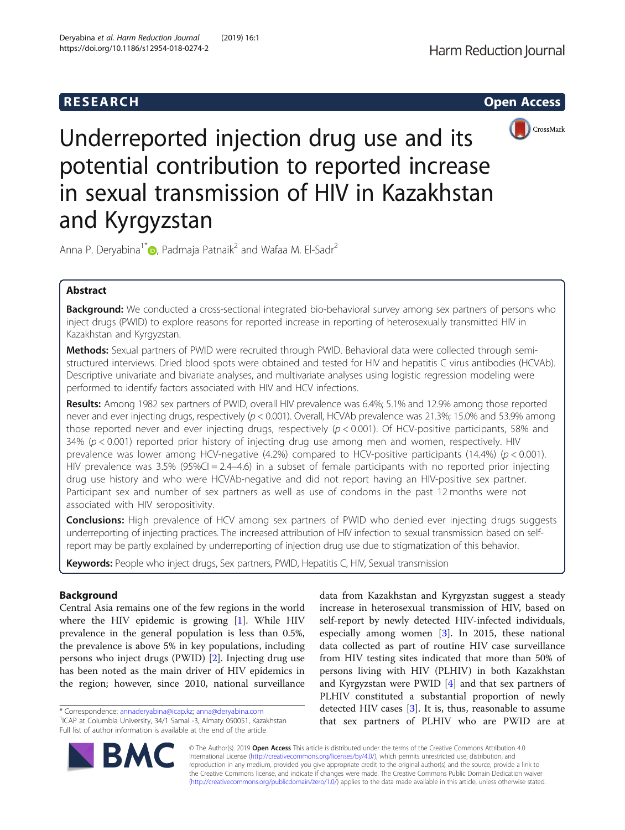# **RESEARCH CHE Open Access**



Underreported injection drug use and its potential contribution to reported increase in sexual transmission of HIV in Kazakhstan and Kyrgyzstan

Anna P. Deryabina<sup>1\*</sup> $\bullet$ [,](http://orcid.org/0000-0002-0640-890X) Padmaja Patnaik<sup>2</sup> and Wafaa M. El-Sadr<sup>2</sup>

# Abstract

Background: We conducted a cross-sectional integrated bio-behavioral survey among sex partners of persons who inject drugs (PWID) to explore reasons for reported increase in reporting of heterosexually transmitted HIV in Kazakhstan and Kyrgyzstan.

Methods: Sexual partners of PWID were recruited through PWID. Behavioral data were collected through semistructured interviews. Dried blood spots were obtained and tested for HIV and hepatitis C virus antibodies (HCVAb). Descriptive univariate and bivariate analyses, and multivariate analyses using logistic regression modeling were performed to identify factors associated with HIV and HCV infections.

Results: Among 1982 sex partners of PWID, overall HIV prevalence was 6.4%; 5.1% and 12.9% among those reported never and ever injecting drugs, respectively ( $p < 0.001$ ). Overall, HCVAb prevalence was 21.3%; 15.0% and 53.9% among those reported never and ever injecting drugs, respectively  $(p < 0.001)$ . Of HCV-positive participants, 58% and  $34\%$  ( $p < 0.001$ ) reported prior history of injecting drug use among men and women, respectively. HIV prevalence was lower among HCV-negative  $(4.2%)$  compared to HCV-positive participants  $(14.4%)$  ( $p < 0.001$ ). HIV prevalence was  $3.5\%$  (95%CI = 2.4–4.6) in a subset of female participants with no reported prior injecting drug use history and who were HCVAb-negative and did not report having an HIV-positive sex partner. Participant sex and number of sex partners as well as use of condoms in the past 12 months were not associated with HIV seropositivity.

**Conclusions:** High prevalence of HCV among sex partners of PWID who denied ever injecting drugs suggests underreporting of injecting practices. The increased attribution of HIV infection to sexual transmission based on selfreport may be partly explained by underreporting of injection drug use due to stigmatization of this behavior.

Keywords: People who inject drugs, Sex partners, PWID, Hepatitis C, HIV, Sexual transmission

# Background

Central Asia remains one of the few regions in the world where the HIV epidemic is growing [\[1](#page-5-0)]. While HIV prevalence in the general population is less than 0.5%, the prevalence is above 5% in key populations, including persons who inject drugs (PWID) [\[2](#page-5-0)]. Injecting drug use has been noted as the main driver of HIV epidemics in the region; however, since 2010, national surveillance

data from Kazakhstan and Kyrgyzstan suggest a steady increase in heterosexual transmission of HIV, based on self-report by newly detected HIV-infected individuals, especially among women  $\left[3\right]$  $\left[3\right]$  $\left[3\right]$ . In 2015, these national data collected as part of routine HIV case surveillance from HIV testing sites indicated that more than 50% of persons living with HIV (PLHIV) in both Kazakhstan and Kyrgyzstan were PWID [\[4\]](#page-5-0) and that sex partners of PLHIV constituted a substantial proportion of newly detected HIV cases [[3\]](#page-5-0). It is, thus, reasonable to assume that sex partners of PLHIV who are PWID are at



© The Author(s). 2019 **Open Access** This article is distributed under the terms of the Creative Commons Attribution 4.0 International License [\(http://creativecommons.org/licenses/by/4.0/](http://creativecommons.org/licenses/by/4.0/)), which permits unrestricted use, distribution, and reproduction in any medium, provided you give appropriate credit to the original author(s) and the source, provide a link to the Creative Commons license, and indicate if changes were made. The Creative Commons Public Domain Dedication waiver [\(http://creativecommons.org/publicdomain/zero/1.0/](http://creativecommons.org/publicdomain/zero/1.0/)) applies to the data made available in this article, unless otherwise stated.

<sup>\*</sup> Correspondence: [annaderyabina@icap.kz;](mailto:annaderyabina@icap.kz) [anna@deryabina.com](mailto:anna@deryabina.com) <sup>1</sup> <sup>1</sup>ICAP at Columbia University, 34/1 Samal -3, Almaty 050051, Kazakhstan Full list of author information is available at the end of the article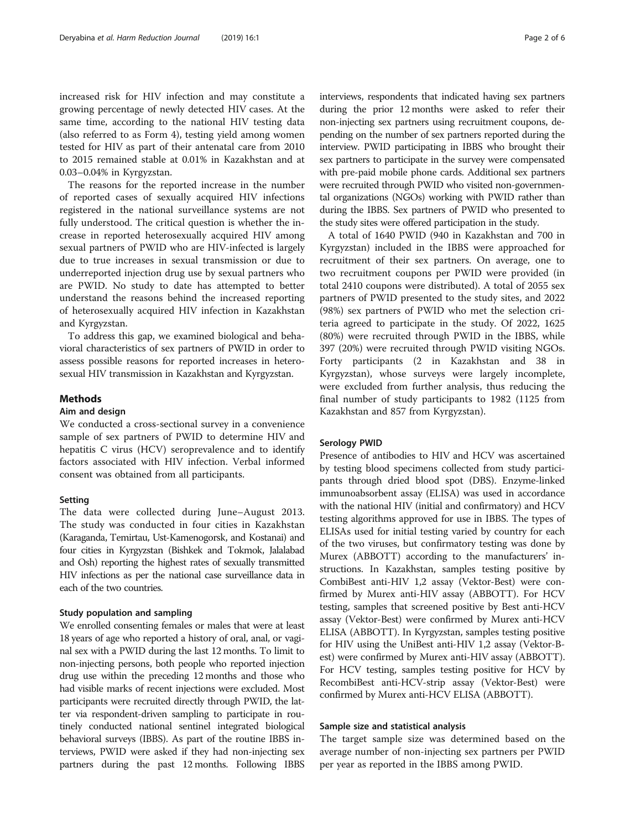increased risk for HIV infection and may constitute a growing percentage of newly detected HIV cases. At the same time, according to the national HIV testing data (also referred to as Form 4), testing yield among women tested for HIV as part of their antenatal care from 2010 to 2015 remained stable at 0.01% in Kazakhstan and at 0.03–0.04% in Kyrgyzstan.

The reasons for the reported increase in the number of reported cases of sexually acquired HIV infections registered in the national surveillance systems are not fully understood. The critical question is whether the increase in reported heterosexually acquired HIV among sexual partners of PWID who are HIV-infected is largely due to true increases in sexual transmission or due to underreported injection drug use by sexual partners who are PWID. No study to date has attempted to better understand the reasons behind the increased reporting of heterosexually acquired HIV infection in Kazakhstan and Kyrgyzstan.

To address this gap, we examined biological and behavioral characteristics of sex partners of PWID in order to assess possible reasons for reported increases in heterosexual HIV transmission in Kazakhstan and Kyrgyzstan.

#### Methods

#### Aim and design

We conducted a cross-sectional survey in a convenience sample of sex partners of PWID to determine HIV and hepatitis C virus (HCV) seroprevalence and to identify factors associated with HIV infection. Verbal informed consent was obtained from all participants.

#### Setting

The data were collected during June–August 2013. The study was conducted in four cities in Kazakhstan (Karaganda, Temirtau, Ust-Kamenogorsk, and Kostanai) and four cities in Kyrgyzstan (Bishkek and Tokmok, Jalalabad and Osh) reporting the highest rates of sexually transmitted HIV infections as per the national case surveillance data in each of the two countries.

# Study population and sampling

We enrolled consenting females or males that were at least 18 years of age who reported a history of oral, anal, or vaginal sex with a PWID during the last 12 months. To limit to non-injecting persons, both people who reported injection drug use within the preceding 12 months and those who had visible marks of recent injections were excluded. Most participants were recruited directly through PWID, the latter via respondent-driven sampling to participate in routinely conducted national sentinel integrated biological behavioral surveys (IBBS). As part of the routine IBBS interviews, PWID were asked if they had non-injecting sex partners during the past 12 months. Following IBBS interviews, respondents that indicated having sex partners during the prior 12 months were asked to refer their non-injecting sex partners using recruitment coupons, depending on the number of sex partners reported during the interview. PWID participating in IBBS who brought their sex partners to participate in the survey were compensated with pre-paid mobile phone cards. Additional sex partners were recruited through PWID who visited non-governmental organizations (NGOs) working with PWID rather than during the IBBS. Sex partners of PWID who presented to the study sites were offered participation in the study.

A total of 1640 PWID (940 in Kazakhstan and 700 in Kyrgyzstan) included in the IBBS were approached for recruitment of their sex partners. On average, one to two recruitment coupons per PWID were provided (in total 2410 coupons were distributed). A total of 2055 sex partners of PWID presented to the study sites, and 2022 (98%) sex partners of PWID who met the selection criteria agreed to participate in the study. Of 2022, 1625 (80%) were recruited through PWID in the IBBS, while 397 (20%) were recruited through PWID visiting NGOs. Forty participants (2 in Kazakhstan and 38 in Kyrgyzstan), whose surveys were largely incomplete, were excluded from further analysis, thus reducing the final number of study participants to 1982 (1125 from Kazakhstan and 857 from Kyrgyzstan).

#### Serology PWID

Presence of antibodies to HIV and HCV was ascertained by testing blood specimens collected from study participants through dried blood spot (DBS). Enzyme-linked immunoabsorbent assay (ELISA) was used in accordance with the national HIV (initial and confirmatory) and HCV testing algorithms approved for use in IBBS. The types of ELISAs used for initial testing varied by country for each of the two viruses, but confirmatory testing was done by Murex (ABBOTT) according to the manufacturers' instructions. In Kazakhstan, samples testing positive by CombiBest anti-HIV 1,2 assay (Vektor-Best) were confirmed by Murex anti-HIV assay (ABBOTT). For HCV testing, samples that screened positive by Best anti-HCV assay (Vektor-Best) were confirmed by Murex anti-HCV ELISA (ABBOTT). In Kyrgyzstan, samples testing positive for HIV using the UniBest anti-HIV 1,2 assay (Vektor-Best) were confirmed by Murex anti-HIV assay (ABBOTT). For HCV testing, samples testing positive for HCV by RecombiBest anti-HCV-strip assay (Vektor-Best) were confirmed by Murex anti-HCV ELISA (ABBOTT).

#### Sample size and statistical analysis

The target sample size was determined based on the average number of non-injecting sex partners per PWID per year as reported in the IBBS among PWID.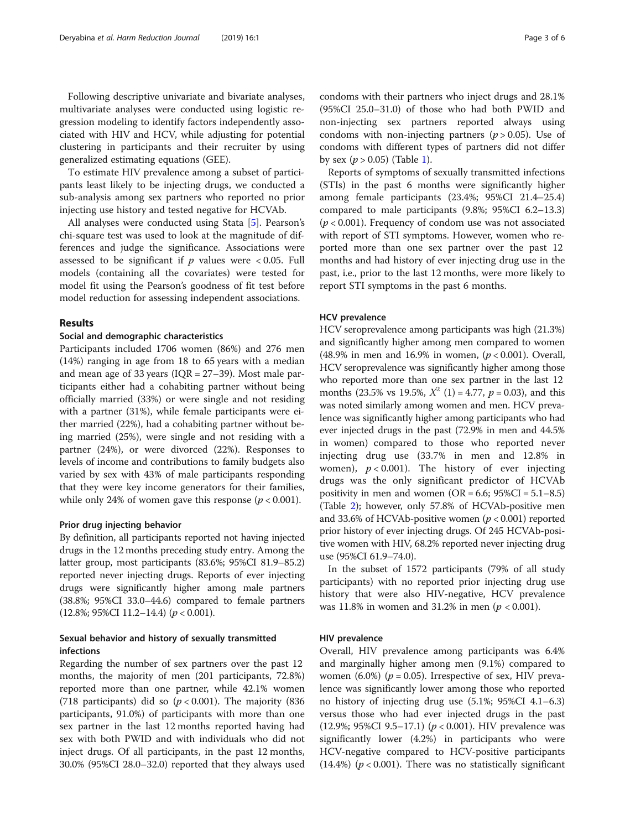Following descriptive univariate and bivariate analyses, multivariate analyses were conducted using logistic regression modeling to identify factors independently associated with HIV and HCV, while adjusting for potential clustering in participants and their recruiter by using generalized estimating equations (GEE).

To estimate HIV prevalence among a subset of participants least likely to be injecting drugs, we conducted a sub-analysis among sex partners who reported no prior injecting use history and tested negative for HCVAb.

All analyses were conducted using Stata [\[5](#page-5-0)]. Pearson's chi-square test was used to look at the magnitude of differences and judge the significance. Associations were assessed to be significant if  $p$  values were < 0.05. Full models (containing all the covariates) were tested for model fit using the Pearson's goodness of fit test before model reduction for assessing independent associations.

#### Results

# Social and demographic characteristics

Participants included 1706 women (86%) and 276 men (14%) ranging in age from 18 to 65 years with a median and mean age of 33 years (IQR = 27–39). Most male participants either had a cohabiting partner without being officially married (33%) or were single and not residing with a partner (31%), while female participants were either married (22%), had a cohabiting partner without being married (25%), were single and not residing with a partner (24%), or were divorced (22%). Responses to levels of income and contributions to family budgets also varied by sex with 43% of male participants responding that they were key income generators for their families, while only 24% of women gave this response ( $p < 0.001$ ).

#### Prior drug injecting behavior

By definition, all participants reported not having injected drugs in the 12 months preceding study entry. Among the latter group, most participants (83.6%; 95%CI 81.9–85.2) reported never injecting drugs. Reports of ever injecting drugs were significantly higher among male partners (38.8%; 95%CI 33.0–44.6) compared to female partners  $(12.8\%; 95\% \text{CI } 11.2-14.4)$   $(p < 0.001)$ .

# Sexual behavior and history of sexually transmitted infections

Regarding the number of sex partners over the past 12 months, the majority of men (201 participants, 72.8%) reported more than one partner, while 42.1% women (718 participants) did so ( $p < 0.001$ ). The majority (836 participants, 91.0%) of participants with more than one sex partner in the last 12 months reported having had sex with both PWID and with individuals who did not inject drugs. Of all participants, in the past 12 months, 30.0% (95%CI 28.0–32.0) reported that they always used condoms with their partners who inject drugs and 28.1% (95%CI 25.0–31.0) of those who had both PWID and non-injecting sex partners reported always using condoms with non-injecting partners ( $p > 0.05$ ). Use of condoms with different types of partners did not differ by sex  $(p > 0.05)$  (Table [1\)](#page-3-0).

Reports of symptoms of sexually transmitted infections (STIs) in the past 6 months were significantly higher among female participants (23.4%; 95%CI 21.4–25.4) compared to male participants (9.8%; 95%CI 6.2–13.3)  $(p < 0.001)$ . Frequency of condom use was not associated with report of STI symptoms. However, women who reported more than one sex partner over the past 12 months and had history of ever injecting drug use in the past, i.e., prior to the last 12 months, were more likely to report STI symptoms in the past 6 months.

# HCV prevalence

HCV seroprevalence among participants was high (21.3%) and significantly higher among men compared to women (48.9% in men and 16.9% in women,  $(p < 0.001)$ . Overall, HCV seroprevalence was significantly higher among those who reported more than one sex partner in the last 12 months (23.5% vs 19.5%,  $X^2$  (1) = 4.77,  $p = 0.03$ ), and this was noted similarly among women and men. HCV prevalence was significantly higher among participants who had ever injected drugs in the past (72.9% in men and 44.5% in women) compared to those who reported never injecting drug use (33.7% in men and 12.8% in women),  $p < 0.001$ ). The history of ever injecting drugs was the only significant predictor of HCVAb positivity in men and women  $(OR = 6.6; 95\%CI = 5.1-8.5)$ (Table [2\)](#page-3-0); however, only 57.8% of HCVAb-positive men and 33.6% of HCVAb-positive women ( $p < 0.001$ ) reported prior history of ever injecting drugs. Of 245 HCVAb-positive women with HIV, 68.2% reported never injecting drug use (95%CI 61.9–74.0).

In the subset of 1572 participants (79% of all study participants) with no reported prior injecting drug use history that were also HIV-negative, HCV prevalence was 11.8% in women and 31.2% in men ( $p < 0.001$ ).

# HIV prevalence

Overall, HIV prevalence among participants was 6.4% and marginally higher among men (9.1%) compared to women  $(6.0\%)$  ( $p = 0.05$ ). Irrespective of sex, HIV prevalence was significantly lower among those who reported no history of injecting drug use (5.1%; 95%CI 4.1–6.3) versus those who had ever injected drugs in the past (12.9%; 95%CI 9.5–17.1) ( $p < 0.001$ ). HIV prevalence was significantly lower (4.2%) in participants who were HCV-negative compared to HCV-positive participants  $(14.4%)$  ( $p < 0.001$ ). There was no statistically significant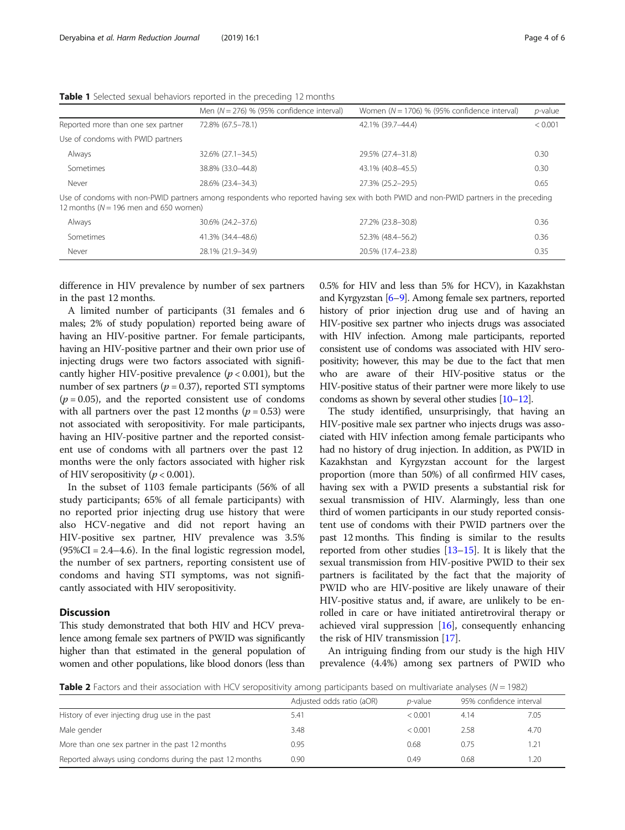|                                          | Men $(N = 276)$ % (95% confidence interval) | Women ( $N = 1706$ ) % (95% confidence interval)                                                                                      | $p$ -value |
|------------------------------------------|---------------------------------------------|---------------------------------------------------------------------------------------------------------------------------------------|------------|
| Reported more than one sex partner       | 72.8% (67.5-78.1)                           | 42.1% (39.7-44.4)                                                                                                                     | < 0.001    |
| Use of condoms with PWID partners        |                                             |                                                                                                                                       |            |
| Always                                   | 32.6% (27.1-34.5)                           | 29.5% (27.4-31.8)                                                                                                                     | 0.30       |
| Sometimes                                | 38.8% (33.0-44.8)                           | 43.1% (40.8-45.5)                                                                                                                     | 0.30       |
| Never                                    | 28.6% (23.4-34.3)                           | 27.3% (25.2-29.5)                                                                                                                     | 0.65       |
| 12 months ( $N = 196$ men and 650 women) |                                             | Use of condoms with non-PWID partners among respondents who reported having sex with both PWID and non-PWID partners in the preceding |            |
| Always                                   | 30.6% (24.2-37.6)                           | 27.2% (23.8-30.8)                                                                                                                     | 0.36       |
| Sometimes                                | 41.3% (34.4–48.6)                           | 52.3% (48.4–56.2)                                                                                                                     | 0.36       |
| Never                                    | 28.1% (21.9–34.9)                           | 20.5% (17.4-23.8)                                                                                                                     | 0.35       |

<span id="page-3-0"></span>Table 1 Selected sexual behaviors reported in the preceding 12 months

difference in HIV prevalence by number of sex partners in the past 12 months.

A limited number of participants (31 females and 6 males; 2% of study population) reported being aware of having an HIV-positive partner. For female participants, having an HIV-positive partner and their own prior use of injecting drugs were two factors associated with significantly higher HIV-positive prevalence ( $p < 0.001$ ), but the number of sex partners ( $p = 0.37$ ), reported STI symptoms  $(p = 0.05)$ , and the reported consistent use of condoms with all partners over the past 12 months ( $p = 0.53$ ) were not associated with seropositivity. For male participants, having an HIV-positive partner and the reported consistent use of condoms with all partners over the past 12 months were the only factors associated with higher risk of HIV seropositivity ( $p < 0.001$ ).

In the subset of 1103 female participants (56% of all study participants; 65% of all female participants) with no reported prior injecting drug use history that were also HCV-negative and did not report having an HIV-positive sex partner, HIV prevalence was 3.5%  $(95\%CI = 2.4-4.6)$ . In the final logistic regression model, the number of sex partners, reporting consistent use of condoms and having STI symptoms, was not significantly associated with HIV seropositivity.

# **Discussion**

This study demonstrated that both HIV and HCV prevalence among female sex partners of PWID was significantly higher than that estimated in the general population of women and other populations, like blood donors (less than 0.5% for HIV and less than 5% for HCV), in Kazakhstan and Kyrgyzstan [\[6](#page-5-0)–[9](#page-5-0)]. Among female sex partners, reported history of prior injection drug use and of having an HIV-positive sex partner who injects drugs was associated with HIV infection. Among male participants, reported consistent use of condoms was associated with HIV seropositivity; however, this may be due to the fact that men who are aware of their HIV-positive status or the HIV-positive status of their partner were more likely to use condoms as shown by several other studies [[10](#page-5-0)–[12](#page-5-0)].

The study identified, unsurprisingly, that having an HIV-positive male sex partner who injects drugs was associated with HIV infection among female participants who had no history of drug injection. In addition, as PWID in Kazakhstan and Kyrgyzstan account for the largest proportion (more than 50%) of all confirmed HIV cases, having sex with a PWID presents a substantial risk for sexual transmission of HIV. Alarmingly, less than one third of women participants in our study reported consistent use of condoms with their PWID partners over the past 12 months. This finding is similar to the results reported from other studies [\[13](#page-5-0)–[15\]](#page-5-0). It is likely that the sexual transmission from HIV-positive PWID to their sex partners is facilitated by the fact that the majority of PWID who are HIV-positive are likely unaware of their HIV-positive status and, if aware, are unlikely to be enrolled in care or have initiated antiretroviral therapy or achieved viral suppression  $[16]$  $[16]$  $[16]$ , consequently enhancing the risk of HIV transmission [\[17\]](#page-5-0).

An intriguing finding from our study is the high HIV prevalence (4.4%) among sex partners of PWID who

**Table 2** Factors and their association with HCV seropositivity among participants based on multivariate analyses ( $N = 1982$ )

|                                                         | Adjusted odds ratio (aOR) | <i>p</i> -value | 95% confidence interval |      |
|---------------------------------------------------------|---------------------------|-----------------|-------------------------|------|
| History of ever injecting drug use in the past          | 5.41                      | < 0.001         | 4.14                    | 7.05 |
| Male gender                                             | 3.48                      | < 0.001         | 2.58                    | 4.70 |
| More than one sex partner in the past 12 months         | 0.95                      | 0.68            | 0.75                    | 1.21 |
| Reported always using condoms during the past 12 months | 0.90                      | 0.49            | 0.68                    | 1.20 |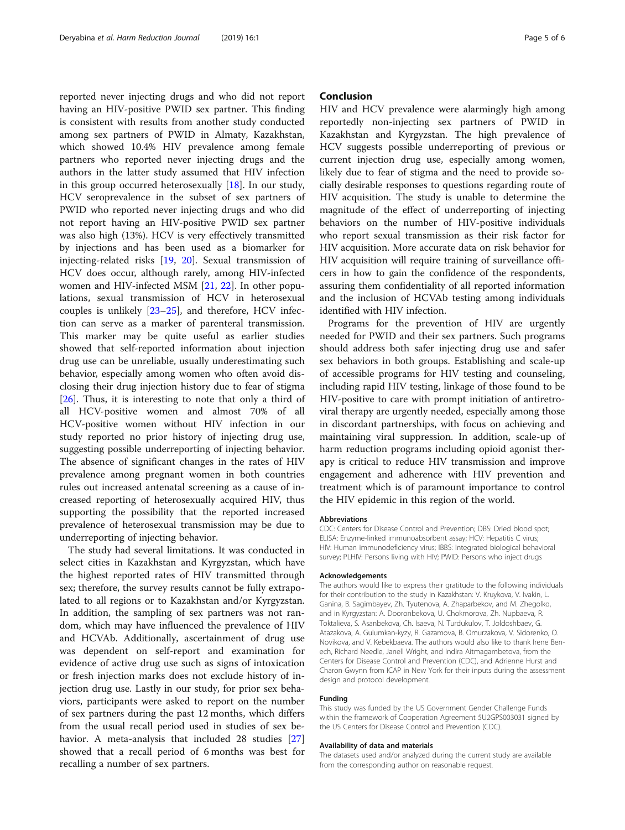reported never injecting drugs and who did not report having an HIV-positive PWID sex partner. This finding is consistent with results from another study conducted among sex partners of PWID in Almaty, Kazakhstan, which showed 10.4% HIV prevalence among female partners who reported never injecting drugs and the authors in the latter study assumed that HIV infection in this group occurred heterosexually [\[18](#page-5-0)]. In our study, HCV seroprevalence in the subset of sex partners of PWID who reported never injecting drugs and who did not report having an HIV-positive PWID sex partner was also high (13%). HCV is very effectively transmitted by injections and has been used as a biomarker for injecting-related risks [[19,](#page-5-0) [20\]](#page-5-0). Sexual transmission of HCV does occur, although rarely, among HIV-infected women and HIV-infected MSM [\[21,](#page-5-0) [22](#page-5-0)]. In other populations, sexual transmission of HCV in heterosexual couples is unlikely [[23](#page-5-0)–[25](#page-5-0)], and therefore, HCV infection can serve as a marker of parenteral transmission. This marker may be quite useful as earlier studies showed that self-reported information about injection drug use can be unreliable, usually underestimating such behavior, especially among women who often avoid disclosing their drug injection history due to fear of stigma [[26\]](#page-5-0). Thus, it is interesting to note that only a third of all HCV-positive women and almost 70% of all HCV-positive women without HIV infection in our study reported no prior history of injecting drug use, suggesting possible underreporting of injecting behavior. The absence of significant changes in the rates of HIV prevalence among pregnant women in both countries rules out increased antenatal screening as a cause of increased reporting of heterosexually acquired HIV, thus supporting the possibility that the reported increased prevalence of heterosexual transmission may be due to underreporting of injecting behavior.

The study had several limitations. It was conducted in select cities in Kazakhstan and Kyrgyzstan, which have the highest reported rates of HIV transmitted through sex; therefore, the survey results cannot be fully extrapolated to all regions or to Kazakhstan and/or Kyrgyzstan. In addition, the sampling of sex partners was not random, which may have influenced the prevalence of HIV and HCVAb. Additionally, ascertainment of drug use was dependent on self-report and examination for evidence of active drug use such as signs of intoxication or fresh injection marks does not exclude history of injection drug use. Lastly in our study, for prior sex behaviors, participants were asked to report on the number of sex partners during the past 12 months, which differs from the usual recall period used in studies of sex be-havior. A meta-analysis that included 28 studies [[27](#page-5-0)] showed that a recall period of 6 months was best for recalling a number of sex partners.

# Conclusion

HIV and HCV prevalence were alarmingly high among reportedly non-injecting sex partners of PWID in Kazakhstan and Kyrgyzstan. The high prevalence of HCV suggests possible underreporting of previous or current injection drug use, especially among women, likely due to fear of stigma and the need to provide socially desirable responses to questions regarding route of HIV acquisition. The study is unable to determine the magnitude of the effect of underreporting of injecting behaviors on the number of HIV-positive individuals who report sexual transmission as their risk factor for HIV acquisition. More accurate data on risk behavior for HIV acquisition will require training of surveillance officers in how to gain the confidence of the respondents, assuring them confidentiality of all reported information and the inclusion of HCVAb testing among individuals identified with HIV infection.

Programs for the prevention of HIV are urgently needed for PWID and their sex partners. Such programs should address both safer injecting drug use and safer sex behaviors in both groups. Establishing and scale-up of accessible programs for HIV testing and counseling, including rapid HIV testing, linkage of those found to be HIV-positive to care with prompt initiation of antiretroviral therapy are urgently needed, especially among those in discordant partnerships, with focus on achieving and maintaining viral suppression. In addition, scale-up of harm reduction programs including opioid agonist therapy is critical to reduce HIV transmission and improve engagement and adherence with HIV prevention and treatment which is of paramount importance to control the HIV epidemic in this region of the world.

#### Abbreviations

CDC: Centers for Disease Control and Prevention; DBS: Dried blood spot; ELISA: Enzyme-linked immunoabsorbent assay; HCV: Hepatitis C virus; HIV: Human immunodeficiency virus; IBBS: Integrated biological behavioral survey; PLHIV: Persons living with HIV; PWID: Persons who inject drugs

#### Acknowledgements

The authors would like to express their gratitude to the following individuals for their contribution to the study in Kazakhstan: V. Kruykova, V. Ivakin, L. Ganina, B. Sagimbayev, Zh. Tyutenova, A. Zhaparbekov, and M. Zhegolko, and in Kyrgyzstan: A. Dooronbekova, U. Chokmorova, Zh. Nupbaeva, R. Toktalieva, S. Asanbekova, Ch. Isaeva, N. Turdukulov, T. Joldoshbaev, G. Atazakova, A. Gulumkan-kyzy, R. Gazamova, B. Omurzakova, V. Sidorenko, O. Novikova, and V. Kebekbaeva. The authors would also like to thank Irene Benech, Richard Needle, Janell Wright, and Indira Aitmagambetova, from the Centers for Disease Control and Prevention (CDC), and Adrienne Hurst and Charon Gwynn from ICAP in New York for their inputs during the assessment design and protocol development.

#### Funding

This study was funded by the US Government Gender Challenge Funds within the framework of Cooperation Agreement 5U2GPS003031 signed by the US Centers for Disease Control and Prevention (CDC).

# Availability of data and materials

The datasets used and/or analyzed during the current study are available from the corresponding author on reasonable request.